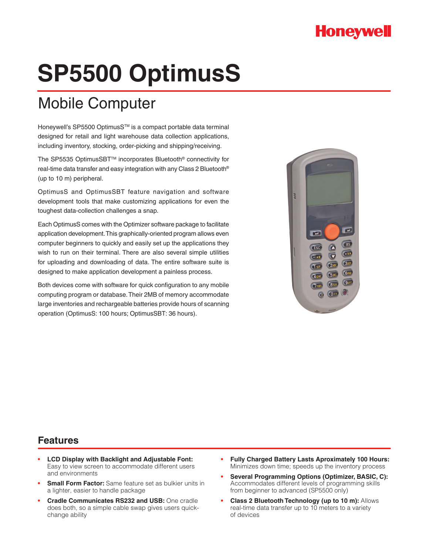## **Honeywell**

# **SP5500 OptimusS**

# Mobile Computer

Honeywell's SP5500 OptimusS<sup>™</sup> is a compact portable data terminal designed for retail and light warehouse data collection applications, including inventory, stocking, order-picking and shipping/receiving.

The SP5535 OptimusSBTTM incorporates Bluetooth® connectivity for real-time data transfer and easy integration with any Class 2 Bluetooth® (up to 10 m) peripheral.

OptimusS and OptimusSBT feature navigation and software development tools that make customizing applications for even the toughest data-collection challenges a snap.

Each OptimusS comes with the Optimizer software package to facilitate application development. This graphically-oriented program allows even computer beginners to quickly and easily set up the applications they wish to run on their terminal. There are also several simple utilities for uploading and downloading of data. The entire software suite is designed to make application development a painless process.

Both devices come with software for quick configuration to any mobile computing program or database. Their 2MB of memory accommodate large inventories and rechargeable batteries provide hours of scanning operation (OptimusS: 100 hours; OptimusSBT: 36 hours).



#### **Features**

- **• LCD Display with Backlight and Adjustable Font:**  Easy to view screen to accommodate different users and environments
- **Small Form Factor:** Same feature set as bulkier units in a lighter, easier to handle package
- **• Cradle Communicates RS232 and USB:** One cradle does both, so a simple cable swap gives users quickchange ability
- **• Fully Charged Battery Lasts Aproximately 100 Hours:**  Minimizes down time; speeds up the inventory process
- **• Several Programming Options (Optimizer, BASIC, C):**  Accommodates different levels of programming skills from beginner to advanced (SP5500 only)
- **• Class 2 Bluetooth Technology (up to 10 m):** Allows real-time data transfer up to 10 meters to a variety of devices